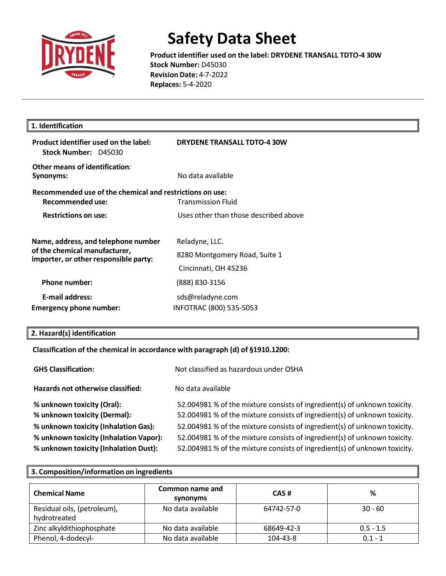

**Product identifier used on the label: DRYDENE TRANSALL TDTO-4 30W Stock Number:** D45030 **Revision Date:** 4-7-2022 **Replaces:** 5-4-2020

| 1. Identification                                                                                             |                                                                         |  |
|---------------------------------------------------------------------------------------------------------------|-------------------------------------------------------------------------|--|
| Product identifier used on the label:<br>Stock Number: D45030                                                 | <b>DRYDENE TRANSALL TDTO-4 30W</b>                                      |  |
| Other means of identification:<br>Synonyms:                                                                   | No data available                                                       |  |
| Recommended use of the chemical and restrictions on use:<br>Recommended use:                                  | <b>Transmission Fluid</b>                                               |  |
| <b>Restrictions on use:</b>                                                                                   | Uses other than those described above                                   |  |
| Name, address, and telephone number<br>of the chemical manufacturer,<br>importer, or other responsible party: | Reladyne, LLC.<br>8280 Montgomery Road, Suite 1<br>Cincinnati, OH 45236 |  |
| <b>Phone number:</b>                                                                                          | (888) 830-3156                                                          |  |
| <b>E-mail address:</b><br><b>Emergency phone number:</b>                                                      | sds@reladyne.com<br>INFOTRAC (800) 535-5053                             |  |

### **2. Hazard(s) identification**

## **Classification of the chemical in accordance with paragraph (d) of §1910.1200:**

| <b>GHS Classification:</b>                                                      | Not classified as hazardous under OSHA                                                                                                                 |
|---------------------------------------------------------------------------------|--------------------------------------------------------------------------------------------------------------------------------------------------------|
| Hazards not otherwise classified:                                               | No data available                                                                                                                                      |
| % unknown toxicity (Oral):<br>% unknown toxicity (Dermal):                      | 52.004981 % of the mixture consists of ingredient(s) of unknown toxicity.<br>52.004981 % of the mixture consists of ingredient(s) of unknown toxicity. |
| % unknown toxicity (Inhalation Gas):                                            | 52.004981 % of the mixture consists of ingredient(s) of unknown toxicity.                                                                              |
| % unknown toxicity (Inhalation Vapor):<br>% unknown toxicity (Inhalation Dust): | 52.004981 % of the mixture consists of ingredient(s) of unknown toxicity.<br>52.004981 % of the mixture consists of ingredient(s) of unknown toxicity. |

| 3. Composition/information on ingredients   |                             |            |             |
|---------------------------------------------|-----------------------------|------------|-------------|
| <b>Chemical Name</b>                        | Common name and<br>synonyms | CAS#       | %           |
| Residual oils, (petroleum),<br>hydrotreated | No data available           | 64742-57-0 | $30 - 60$   |
| Zinc alkyldithiophosphate                   | No data available           | 68649-42-3 | $0.5 - 1.5$ |
| Phenol, 4-dodecyl-                          | No data available           | 104-43-8   | $0.1 - 1$   |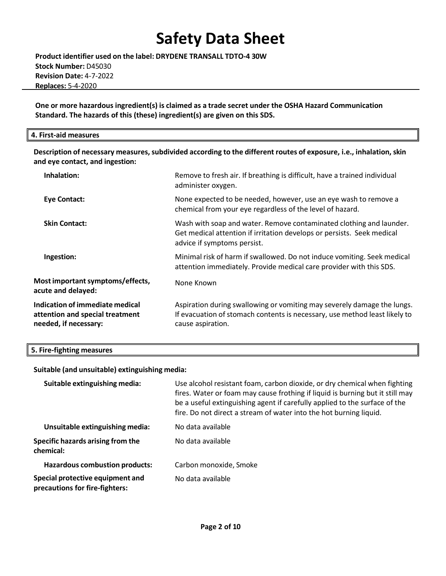**Product identifier used on the label: DRYDENE TRANSALL TDTO-4 30W Stock Number:** D45030 **Revision Date:** 4-7-2022 **Replaces:** 5-4-2020

**One or more hazardous ingredient(s) is claimed as a trade secret under the OSHA Hazard Communication Standard. The hazards of this (these) ingredient(s) are given on this SDS.**

#### **4. First-aid measures**

**Description of necessary measures,subdivided according to the different routes of exposure, i.e., inhalation, skin and eye contact, and ingestion:**

| Inhalation:                                                                                        | Remove to fresh air. If breathing is difficult, have a trained individual<br>administer oxygen.                                                                              |
|----------------------------------------------------------------------------------------------------|------------------------------------------------------------------------------------------------------------------------------------------------------------------------------|
| <b>Eye Contact:</b>                                                                                | None expected to be needed, however, use an eye wash to remove a<br>chemical from your eye regardless of the level of hazard.                                                |
| <b>Skin Contact:</b>                                                                               | Wash with soap and water. Remove contaminated clothing and launder.<br>Get medical attention if irritation develops or persists. Seek medical<br>advice if symptoms persist. |
| Ingestion:                                                                                         | Minimal risk of harm if swallowed. Do not induce vomiting. Seek medical<br>attention immediately. Provide medical care provider with this SDS.                               |
| Most important symptoms/effects,<br>acute and delayed:                                             | None Known                                                                                                                                                                   |
| <b>Indication of immediate medical</b><br>attention and special treatment<br>needed, if necessary: | Aspiration during swallowing or vomiting may severely damage the lungs.<br>If evacuation of stomach contents is necessary, use method least likely to<br>cause aspiration.   |

#### **5. Fire-fighting measures**

#### **Suitable (and unsuitable) extinguishing media:**

| Suitable extinguishing media:                                      | Use alcohol resistant foam, carbon dioxide, or dry chemical when fighting<br>fires. Water or foam may cause frothing if liquid is burning but it still may<br>be a useful extinguishing agent if carefully applied to the surface of the<br>fire. Do not direct a stream of water into the hot burning liquid. |
|--------------------------------------------------------------------|----------------------------------------------------------------------------------------------------------------------------------------------------------------------------------------------------------------------------------------------------------------------------------------------------------------|
| Unsuitable extinguishing media:                                    | No data available                                                                                                                                                                                                                                                                                              |
| Specific hazards arising from the<br>chemical:                     | No data available                                                                                                                                                                                                                                                                                              |
| <b>Hazardous combustion products:</b>                              | Carbon monoxide, Smoke                                                                                                                                                                                                                                                                                         |
| Special protective equipment and<br>precautions for fire-fighters: | No data available                                                                                                                                                                                                                                                                                              |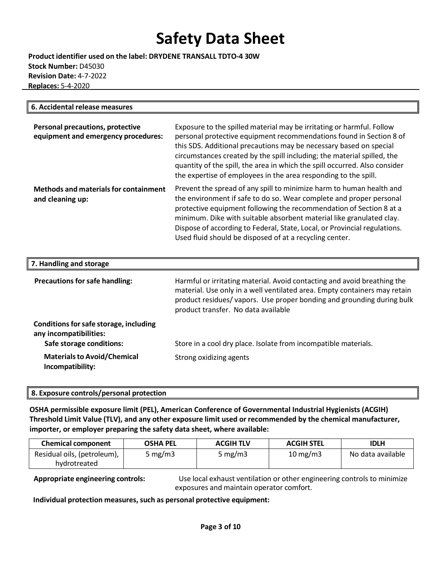**Product identifier used on the label: DRYDENE TRANSALL TDTO-4 30W Stock Number:** D45030 **Revision Date:** 4-7-2022  **Replaces:** 5-4-2020

| 6. Accidental release measures                                          |                                                                                                                                                                                                                                                                                                                                                                                                                                                |
|-------------------------------------------------------------------------|------------------------------------------------------------------------------------------------------------------------------------------------------------------------------------------------------------------------------------------------------------------------------------------------------------------------------------------------------------------------------------------------------------------------------------------------|
| Personal precautions, protective<br>equipment and emergency procedures: | Exposure to the spilled material may be irritating or harmful. Follow<br>personal protective equipment recommendations found in Section 8 of<br>this SDS. Additional precautions may be necessary based on special<br>circumstances created by the spill including; the material spilled, the<br>quantity of the spill, the area in which the spill occurred. Also consider<br>the expertise of employees in the area responding to the spill. |
| <b>Methods and materials for containment</b><br>and cleaning up:        | Prevent the spread of any spill to minimize harm to human health and<br>the environment if safe to do so. Wear complete and proper personal<br>protective equipment following the recommendation of Section 8 at a<br>minimum. Dike with suitable absorbent material like granulated clay.<br>Dispose of according to Federal, State, Local, or Provincial regulations.<br>Used fluid should be disposed of at a recycling center.             |
| 7. Handling and storage                                                 |                                                                                                                                                                                                                                                                                                                                                                                                                                                |

| <b>Precautions for safe handling:</b>                                                        | Harmful or irritating material. Avoid contacting and avoid breathing the<br>material. Use only in a well ventilated area. Empty containers may retain<br>product residues/vapors. Use proper bonding and grounding during bulk<br>product transfer. No data available |
|----------------------------------------------------------------------------------------------|-----------------------------------------------------------------------------------------------------------------------------------------------------------------------------------------------------------------------------------------------------------------------|
| Conditions for safe storage, including<br>any incompatibilities:<br>Safe storage conditions: | Store in a cool dry place. Isolate from incompatible materials.                                                                                                                                                                                                       |
| <b>Materials to Avoid/Chemical</b><br>Incompatibility:                                       | Strong oxidizing agents                                                                                                                                                                                                                                               |

#### **8. Exposure controls/personal protection**

**OSHA permissible exposure limit (PEL), American Conference of Governmental Industrial Hygienists (ACGIH) Threshold Limit Value (TLV), and any other exposure limit used or recommended by the chemical manufacturer, importer, or employer preparing the safety data sheet, where available:**

| <b>Chemical component</b>   | <b>OSHA PEL</b> | <b>ACGIH TLV</b> | <b>ACGIH STEL</b>    | <b>IDLH</b>       |
|-----------------------------|-----------------|------------------|----------------------|-------------------|
| Residual oils, (petroleum), | 5 mg/m3         | 5 mg/m $3$       | $10 \,\mathrm{mg/m}$ | No data available |
| hydrotreated                |                 |                  |                      |                   |

**Appropriate engineering controls:** Use local exhaust ventilation or other engineering controls to minimize exposures and maintain operator comfort.

**Individual protection measures,such as personal protective equipment:**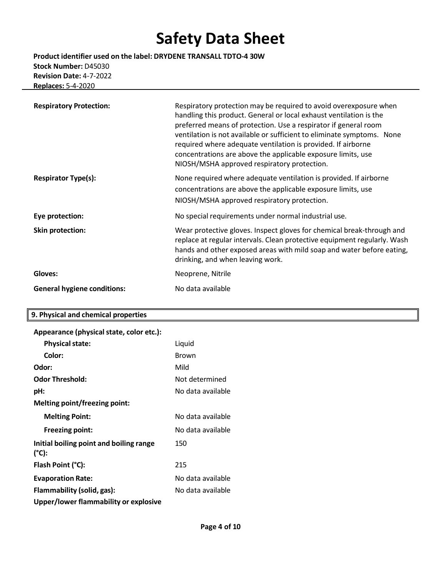**Product identifier used on the label: DRYDENE TRANSALL TDTO-4 30W Stock Number:** D45030 **Revision Date:** 4-7-2022 **Replaces:** 5-4-2020

| <b>Respiratory Protection:</b>     | Respiratory protection may be required to avoid overexposure when<br>handling this product. General or local exhaust ventilation is the<br>preferred means of protection. Use a respirator if general room<br>ventilation is not available or sufficient to eliminate symptoms. None<br>required where adequate ventilation is provided. If airborne<br>concentrations are above the applicable exposure limits, use<br>NIOSH/MSHA approved respiratory protection. |
|------------------------------------|---------------------------------------------------------------------------------------------------------------------------------------------------------------------------------------------------------------------------------------------------------------------------------------------------------------------------------------------------------------------------------------------------------------------------------------------------------------------|
| <b>Respirator Type(s):</b>         | None required where adequate ventilation is provided. If airborne<br>concentrations are above the applicable exposure limits, use<br>NIOSH/MSHA approved respiratory protection.                                                                                                                                                                                                                                                                                    |
| Eye protection:                    | No special requirements under normal industrial use.                                                                                                                                                                                                                                                                                                                                                                                                                |
| Skin protection:                   | Wear protective gloves. Inspect gloves for chemical break-through and<br>replace at regular intervals. Clean protective equipment regularly. Wash<br>hands and other exposed areas with mild soap and water before eating,<br>drinking, and when leaving work.                                                                                                                                                                                                      |
| Gloves:                            | Neoprene, Nitrile                                                                                                                                                                                                                                                                                                                                                                                                                                                   |
| <b>General hygiene conditions:</b> | No data available                                                                                                                                                                                                                                                                                                                                                                                                                                                   |

## **9. Physical and chemical properties**

| Appearance (physical state, color etc.):         |                   |
|--------------------------------------------------|-------------------|
| <b>Physical state:</b>                           | Liquid            |
| Color:                                           | <b>Brown</b>      |
| Odor:                                            | Mild              |
| <b>Odor Threshold:</b>                           | Not determined    |
| pH:                                              | No data available |
| <b>Melting point/freezing point:</b>             |                   |
| <b>Melting Point:</b>                            | No data available |
| <b>Freezing point:</b>                           | No data available |
| Initial boiling point and boiling range<br>(°C): | 150               |
| Flash Point (°C):                                | 215               |
| <b>Evaporation Rate:</b>                         | No data available |
| Flammability (solid, gas):                       | No data available |
| Upper/lower flammability or explosive            |                   |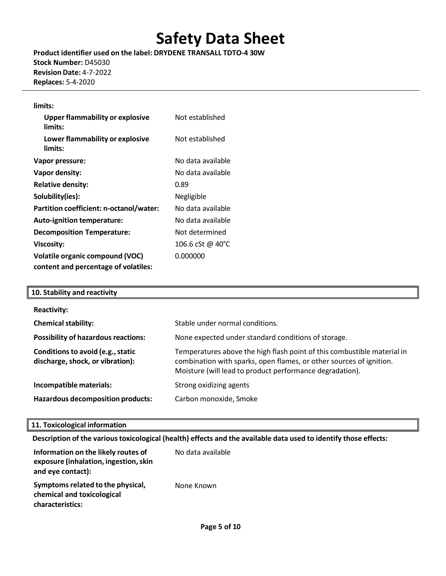**Product identifier used on the label: DRYDENE TRANSALL TDTO-4 30W Stock Number:** D45030 **Revision Date:** 4-7-2022 **Replaces:** 5-4-2020

#### **limits:**

| <b>Upper flammability or explosive</b><br>limits: | Not established   |
|---------------------------------------------------|-------------------|
| Lower flammability or explosive<br>limits:        | Not established   |
| Vapor pressure:                                   | No data available |
| Vapor density:                                    | No data available |
| <b>Relative density:</b>                          | 0.89              |
| Solubility(ies):                                  | Negligible        |
| Partition coefficient: n-octanol/water:           | No data available |
| Auto-ignition temperature:                        | No data available |
| <b>Decomposition Temperature:</b>                 | Not determined    |
| <b>Viscosity:</b>                                 | 106.6 cSt @ 40°C  |
| <b>Volatile organic compound (VOC)</b>            | 0.000000          |
| content and percentage of volatiles:              |                   |

| 10. Stability and reactivity                                          |                                                                                                                                                                                                            |
|-----------------------------------------------------------------------|------------------------------------------------------------------------------------------------------------------------------------------------------------------------------------------------------------|
| <b>Reactivity:</b>                                                    |                                                                                                                                                                                                            |
| <b>Chemical stability:</b>                                            | Stable under normal conditions.                                                                                                                                                                            |
| <b>Possibility of hazardous reactions:</b>                            | None expected under standard conditions of storage.                                                                                                                                                        |
| Conditions to avoid (e.g., static<br>discharge, shock, or vibration): | Temperatures above the high flash point of this combustible material in<br>combination with sparks, open flames, or other sources of ignition.<br>Moisture (will lead to product performance degradation). |
| Incompatible materials:                                               | Strong oxidizing agents                                                                                                                                                                                    |
| Hazardous decomposition products:                                     | Carbon monoxide, Smoke                                                                                                                                                                                     |

#### **11. Toxicological information**

#### **Description of the varioustoxicological (health) effects and the available data used to identify those effects:**

| Information on the likely routes of<br>exposure (inhalation, ingestion, skin<br>and eye contact): | No data available |
|---------------------------------------------------------------------------------------------------|-------------------|
| Symptoms related to the physical,<br>chemical and toxicological<br>characteristics:               | None Known        |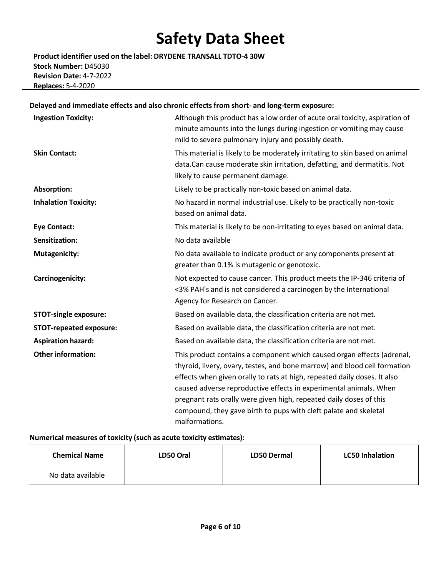**Product identifier used on the label: DRYDENE TRANSALL TDTO-4 30W Stock Number:** D45030 **Revision Date:** 4-7-2022 **Replaces:** 5-4-2020

## **Delayed and immediate effects and also chronic effectsfrom short- and long-term exposure:**

| <b>Ingestion Toxicity:</b>     | Although this product has a low order of acute oral toxicity, aspiration of<br>minute amounts into the lungs during ingestion or vomiting may cause<br>mild to severe pulmonary injury and possibly death.                                                                                                                                                                                                                                                       |
|--------------------------------|------------------------------------------------------------------------------------------------------------------------------------------------------------------------------------------------------------------------------------------------------------------------------------------------------------------------------------------------------------------------------------------------------------------------------------------------------------------|
| <b>Skin Contact:</b>           | This material is likely to be moderately irritating to skin based on animal<br>data.Can cause moderate skin irritation, defatting, and dermatitis. Not<br>likely to cause permanent damage.                                                                                                                                                                                                                                                                      |
| <b>Absorption:</b>             | Likely to be practically non-toxic based on animal data.                                                                                                                                                                                                                                                                                                                                                                                                         |
| <b>Inhalation Toxicity:</b>    | No hazard in normal industrial use. Likely to be practically non-toxic<br>based on animal data.                                                                                                                                                                                                                                                                                                                                                                  |
| <b>Eye Contact:</b>            | This material is likely to be non-irritating to eyes based on animal data.                                                                                                                                                                                                                                                                                                                                                                                       |
| Sensitization:                 | No data available                                                                                                                                                                                                                                                                                                                                                                                                                                                |
| <b>Mutagenicity:</b>           | No data available to indicate product or any components present at<br>greater than 0.1% is mutagenic or genotoxic.                                                                                                                                                                                                                                                                                                                                               |
| Carcinogenicity:               | Not expected to cause cancer. This product meets the IP-346 criteria of<br><3% PAH's and is not considered a carcinogen by the International<br>Agency for Research on Cancer.                                                                                                                                                                                                                                                                                   |
| <b>STOT-single exposure:</b>   | Based on available data, the classification criteria are not met.                                                                                                                                                                                                                                                                                                                                                                                                |
| <b>STOT-repeated exposure:</b> | Based on available data, the classification criteria are not met.                                                                                                                                                                                                                                                                                                                                                                                                |
| <b>Aspiration hazard:</b>      | Based on available data, the classification criteria are not met.                                                                                                                                                                                                                                                                                                                                                                                                |
| <b>Other information:</b>      | This product contains a component which caused organ effects (adrenal,<br>thyroid, livery, ovary, testes, and bone marrow) and blood cell formation<br>effects when given orally to rats at high, repeated daily doses. It also<br>caused adverse reproductive effects in experimental animals. When<br>pregnant rats orally were given high, repeated daily doses of this<br>compound, they gave birth to pups with cleft palate and skeletal<br>malformations. |

## **Numerical measures of toxicity (such as acute toxicity estimates):**

| <b>Chemical Name</b> | LD50 Oral | <b>LD50 Dermal</b> | <b>LC50 Inhalation</b> |
|----------------------|-----------|--------------------|------------------------|
| No data available    |           |                    |                        |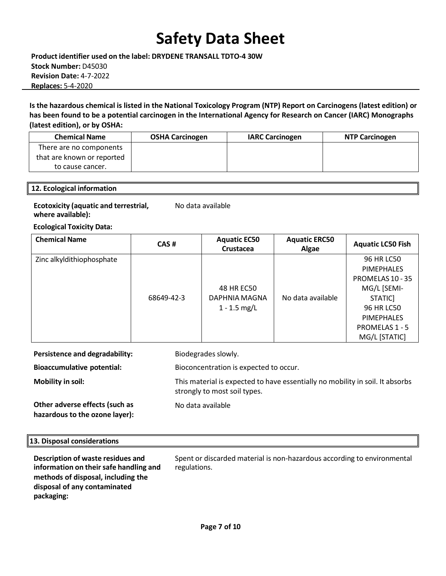**Product identifier used on the label: DRYDENE TRANSALL TDTO-4 30W Stock Number:** D45030 **Revision Date:** 4-7-2022 **Replaces:** 5-4-2020

Is the hazardous chemical is listed in the National Toxicology Program (NTP) Report on Carcinogens (latest edition) or **has been found to be a potential carcinogen in the International Agency for Research on Cancer (IARC) Monographs (latest edition), or by OSHA:**

| <b>Chemical Name</b>       | <b>OSHA Carcinogen</b> | <b>IARC Carcinogen</b> | <b>NTP Carcinogen</b> |
|----------------------------|------------------------|------------------------|-----------------------|
| There are no components    |                        |                        |                       |
| that are known or reported |                        |                        |                       |
| to cause cancer.           |                        |                        |                       |

#### **12. Ecological information**

| <b>Ecotoxicity (aquatic and terrestrial,</b> | No data available |
|----------------------------------------------|-------------------|
| where available):                            |                   |

**Ecological Toxicity Data:**

| <b>Chemical Name</b>      | CAS#       | <b>Aquatic EC50</b><br>Crustacea              | <b>Aquatic ERC50</b><br>Algae | <b>Aquatic LC50 Fish</b>                                                                                                                         |
|---------------------------|------------|-----------------------------------------------|-------------------------------|--------------------------------------------------------------------------------------------------------------------------------------------------|
| Zinc alkyldithiophosphate | 68649-42-3 | 48 HR EC50<br>DAPHNIA MAGNA<br>$1 - 1.5$ mg/L | No data available             | 96 HR LC50<br><b>PIMEPHALES</b><br>PROMELAS 10 - 35<br>MG/L [SEMI-<br>STATIC]<br><b>96 HR LC50</b><br><b>PIMEPHALES</b><br><b>PROMELAS 1 - 5</b> |
|                           |            |                                               |                               | MG/L [STATIC]                                                                                                                                    |

| Persistence and degradability:                                   | Biodegrades slowly.                                                                                           |
|------------------------------------------------------------------|---------------------------------------------------------------------------------------------------------------|
| <b>Bioaccumulative potential:</b>                                | Bioconcentration is expected to occur.                                                                        |
| <b>Mobility in soil:</b>                                         | This material is expected to have essentially no mobility in soil. It absorbs<br>strongly to most soil types. |
| Other adverse effects (such as<br>hazardous to the ozone layer): | No data available                                                                                             |

#### **13. Disposal considerations**

**Description of waste residues and information on theirsafe handling and methods of disposal, including the disposal of any contaminated packaging:**

Spent or discarded material is non-hazardous according to environmental regulations.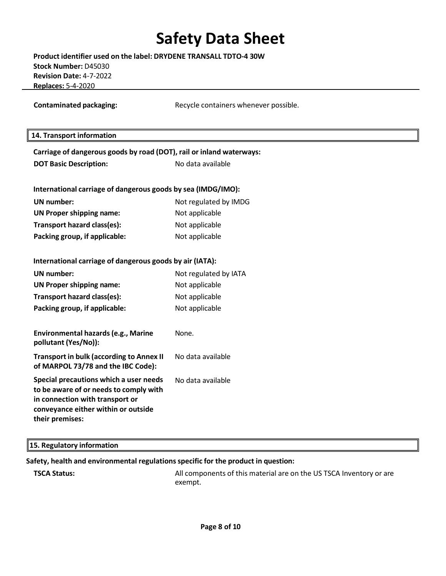| Product identifier used on the label: DRYDENE TRANSALL TDTO-4 30W |
|-------------------------------------------------------------------|
| Stock Number: D45030                                              |
| <b>Revision Date: 4-7-2022</b>                                    |
| <b>Replaces: 5-4-2020</b>                                         |

**Contaminated packaging:** Recycle containers whenever possible.

### **14. Transport information**

| Carriage of dangerous goods by road (DOT), rail or inland waterways:                                                                                                          |                       |  |  |  |  |
|-------------------------------------------------------------------------------------------------------------------------------------------------------------------------------|-----------------------|--|--|--|--|
| <b>DOT Basic Description:</b>                                                                                                                                                 | No data available     |  |  |  |  |
|                                                                                                                                                                               |                       |  |  |  |  |
| International carriage of dangerous goods by sea (IMDG/IMO):                                                                                                                  |                       |  |  |  |  |
| <b>UN</b> number:                                                                                                                                                             | Not regulated by IMDG |  |  |  |  |
| <b>UN Proper shipping name:</b>                                                                                                                                               | Not applicable        |  |  |  |  |
| Transport hazard class(es):                                                                                                                                                   | Not applicable        |  |  |  |  |
| Packing group, if applicable:                                                                                                                                                 | Not applicable        |  |  |  |  |
|                                                                                                                                                                               |                       |  |  |  |  |
| International carriage of dangerous goods by air (IATA):                                                                                                                      |                       |  |  |  |  |
| <b>UN</b> number:                                                                                                                                                             | Not regulated by IATA |  |  |  |  |
| UN Proper shipping name:                                                                                                                                                      | Not applicable        |  |  |  |  |
| Transport hazard class(es):                                                                                                                                                   | Not applicable        |  |  |  |  |
| Packing group, if applicable:                                                                                                                                                 | Not applicable        |  |  |  |  |
|                                                                                                                                                                               |                       |  |  |  |  |
| Environmental hazards (e.g., Marine<br>pollutant (Yes/No)):                                                                                                                   | None.                 |  |  |  |  |
| <b>Transport in bulk (according to Annex II</b><br>of MARPOL 73/78 and the IBC Code):                                                                                         | No data available     |  |  |  |  |
| Special precautions which a user needs<br>to be aware of or needs to comply with<br>in connection with transport or<br>conveyance either within or outside<br>their premises: | No data available     |  |  |  |  |

### **15. Regulatory information**

#### **Safety, health and environmental regulationsspecific for the product in question:**

**TSCA Status: All components of this material are on the US TSCA Inventory or are**  $\blacksquare$ exempt.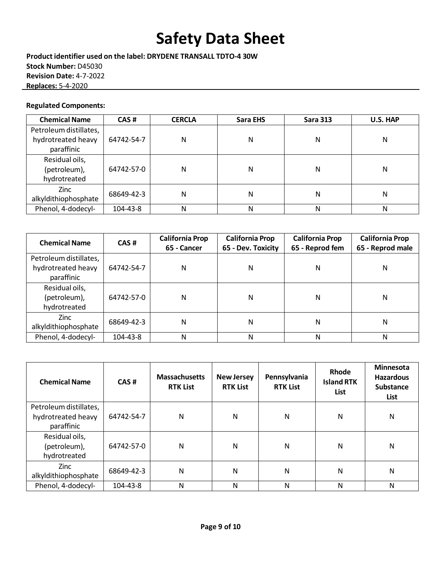**Product identifier used on the label: DRYDENE TRANSALL TDTO-4 30W Stock Number:** D45030 **Revision Date:** 4-7-2022 **Replaces:** 5-4-2020

## **Regulated Components:**

| <b>Chemical Name</b>   | CAS#       | <b>CERCLA</b> | Sara EHS | <b>Sara 313</b> | U.S. HAP |
|------------------------|------------|---------------|----------|-----------------|----------|
| Petroleum distillates, |            |               |          |                 |          |
| hydrotreated heavy     | 64742-54-7 | Ν             | Ν        | Ν               | Ν        |
| paraffinic             |            |               |          |                 |          |
| Residual oils,         |            |               |          |                 |          |
| (petroleum),           | 64742-57-0 | N             | Ν        | Ν               | Ν        |
| hydrotreated           |            |               |          |                 |          |
| Zinc                   | 68649-42-3 | N             | Ν        | Ν               | Ν        |
| alkyldithiophosphate   |            |               |          |                 |          |
| Phenol, 4-dodecyl-     | 104-43-8   | Ν             | Ν        | Ν               | Ν        |

| <b>Chemical Name</b>                                       | CAS#       | <b>California Prop</b><br>65 - Cancer | <b>California Prop</b><br>65 - Dev. Toxicity | <b>California Prop</b><br>65 - Reprod fem | <b>California Prop</b><br>65 - Reprod male |
|------------------------------------------------------------|------------|---------------------------------------|----------------------------------------------|-------------------------------------------|--------------------------------------------|
| Petroleum distillates,<br>hydrotreated heavy<br>paraffinic | 64742-54-7 | N                                     | N                                            | Ν                                         | N                                          |
| Residual oils,<br>(petroleum),<br>hydrotreated             | 64742-57-0 | Ν                                     | N                                            | Ν                                         | N                                          |
| <b>Zinc</b><br>alkyldithiophosphate                        | 68649-42-3 | N                                     | Ν                                            | Ν                                         | N                                          |
| Phenol, 4-dodecyl-                                         | 104-43-8   | N                                     | Ν                                            | Ν                                         | N                                          |

| <b>Chemical Name</b>                                       | CAS#       | <b>Massachusetts</b><br><b>RTK List</b> | <b>New Jersey</b><br><b>RTK List</b> | Pennsylvania<br><b>RTK List</b> | Rhode<br><b>Island RTK</b><br>List | <b>Minnesota</b><br><b>Hazardous</b><br><b>Substance</b><br>List |
|------------------------------------------------------------|------------|-----------------------------------------|--------------------------------------|---------------------------------|------------------------------------|------------------------------------------------------------------|
| Petroleum distillates,<br>hydrotreated heavy<br>paraffinic | 64742-54-7 | N                                       | N                                    | N                               | N                                  | N                                                                |
| Residual oils,<br>(petroleum),<br>hydrotreated             | 64742-57-0 | N                                       | N                                    | N                               | N                                  | N                                                                |
| Zinc<br>alkyldithiophosphate                               | 68649-42-3 | N                                       | Ν                                    | N                               | N                                  | N                                                                |
| Phenol, 4-dodecyl-                                         | 104-43-8   | N                                       | N                                    | N                               | N                                  | N                                                                |